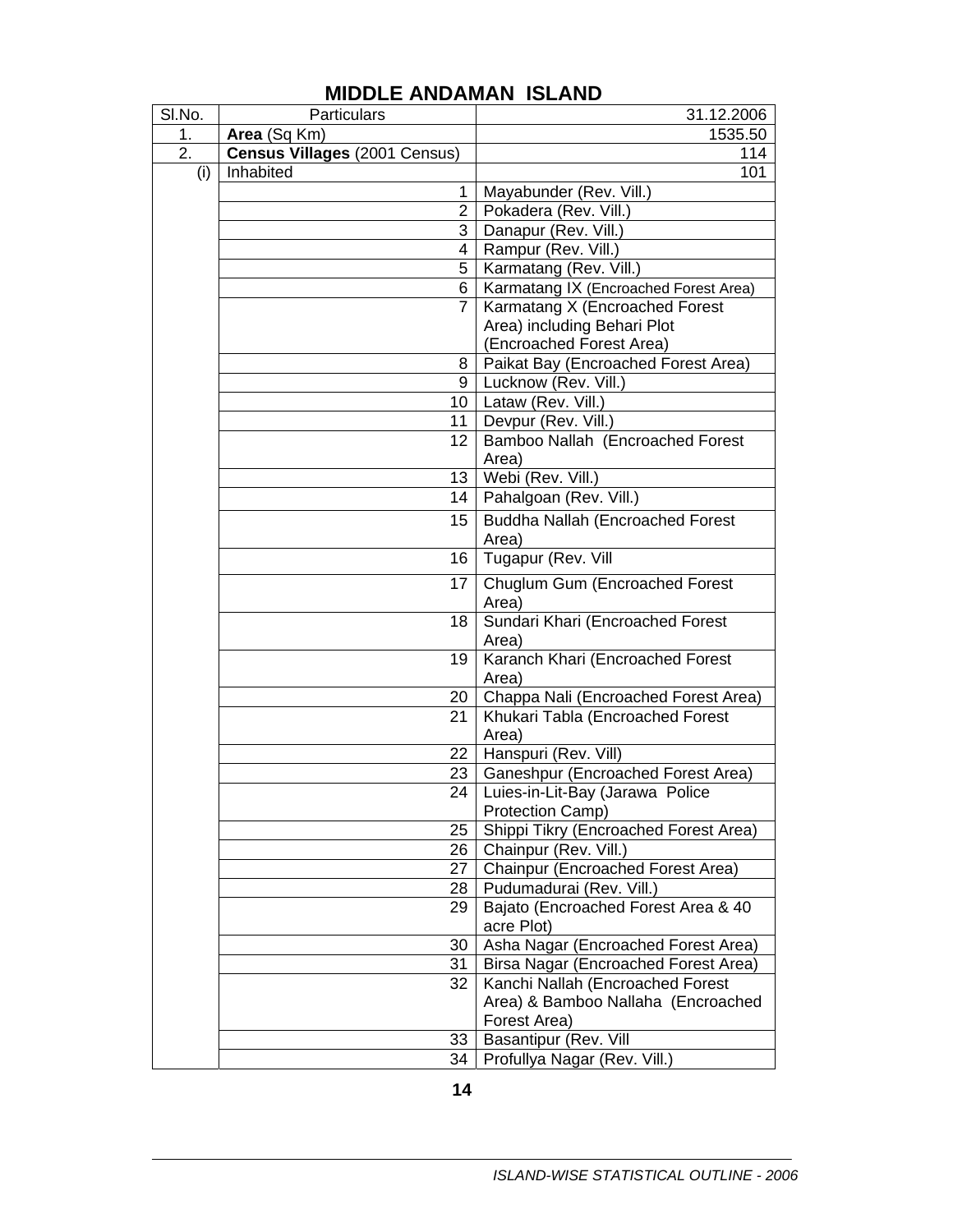| SI.No.           | Particulars                   | 31.12.2006                                         |
|------------------|-------------------------------|----------------------------------------------------|
| 1.               | Area (Sq Km)                  | 1535.50                                            |
| $\overline{2}$ . | Census Villages (2001 Census) | 114                                                |
| (i)              | Inhabited                     | 101                                                |
|                  | 1                             | Mayabunder (Rev. Vill.)                            |
|                  | $\overline{2}$                | Pokadera (Rev. Vill.)                              |
|                  | 3                             | Danapur (Rev. Vill.)                               |
|                  | 4                             | Rampur (Rev. Vill.)                                |
|                  | 5                             | Karmatang (Rev. Vill.)                             |
|                  | 6                             | Karmatang IX (Encroached Forest Area)              |
|                  | 7                             | Karmatang X (Encroached Forest                     |
|                  |                               | Area) including Behari Plot                        |
|                  |                               | (Encroached Forest Area)                           |
|                  | 8                             | Paikat Bay (Encroached Forest Area)                |
|                  | 9                             | Lucknow (Rev. Vill.)                               |
|                  | 10 I                          | Lataw (Rev. Vill.)                                 |
|                  | 11                            | Devpur (Rev. Vill.)                                |
|                  | 12                            | Bamboo Nallah (Encroached Forest                   |
|                  |                               | Area)                                              |
|                  | 13                            | Webi (Rev. Vill.)                                  |
|                  | 14                            | Pahalgoan (Rev. Vill.)                             |
|                  | 15                            | <b>Buddha Nallah (Encroached Forest</b>            |
|                  |                               | Area)                                              |
|                  | 16                            | Tugapur (Rev. Vill                                 |
|                  | 17                            | Chuglum Gum (Encroached Forest                     |
|                  |                               | Area)                                              |
|                  | 18                            | Sundari Khari (Encroached Forest                   |
|                  |                               | Area)                                              |
|                  | 19                            | Karanch Khari (Encroached Forest                   |
|                  |                               | Area)                                              |
|                  | 20                            | Chappa Nali (Encroached Forest Area)               |
|                  | 21                            | Khukari Tabla (Encroached Forest                   |
|                  |                               | Area)                                              |
|                  | 22                            | Hanspuri (Rev. Vill)                               |
|                  | 23 <sub>1</sub>               | Ganeshpur (Encroached Forest Area)                 |
|                  | 24                            | Luies-in-Lit-Bay (Jarawa Police                    |
|                  |                               | Protection Camp)                                   |
|                  | 25                            | Shippi Tikry (Encroached Forest Area)              |
|                  | 26                            | Chainpur (Rev. Vill.)                              |
|                  | 27                            | Chainpur (Encroached Forest Area)                  |
|                  | 28                            | Pudumadurai (Rev. Vill.)                           |
|                  | 29                            | Bajato (Encroached Forest Area & 40                |
|                  |                               | acre Plot)                                         |
|                  | 30                            | Asha Nagar (Encroached Forest Area)                |
|                  | 31                            | Birsa Nagar (Encroached Forest Area)               |
|                  | 32                            | Kanchi Nallah (Encroached Forest                   |
|                  |                               | Area) & Bamboo Nallaha (Encroached<br>Forest Area) |
|                  | 33                            | Basantipur (Rev. Vill                              |
|                  | 34                            |                                                    |
|                  |                               | Profullya Nagar (Rev. Vill.)                       |

## **MIDDLE ANDAMAN ISLAND**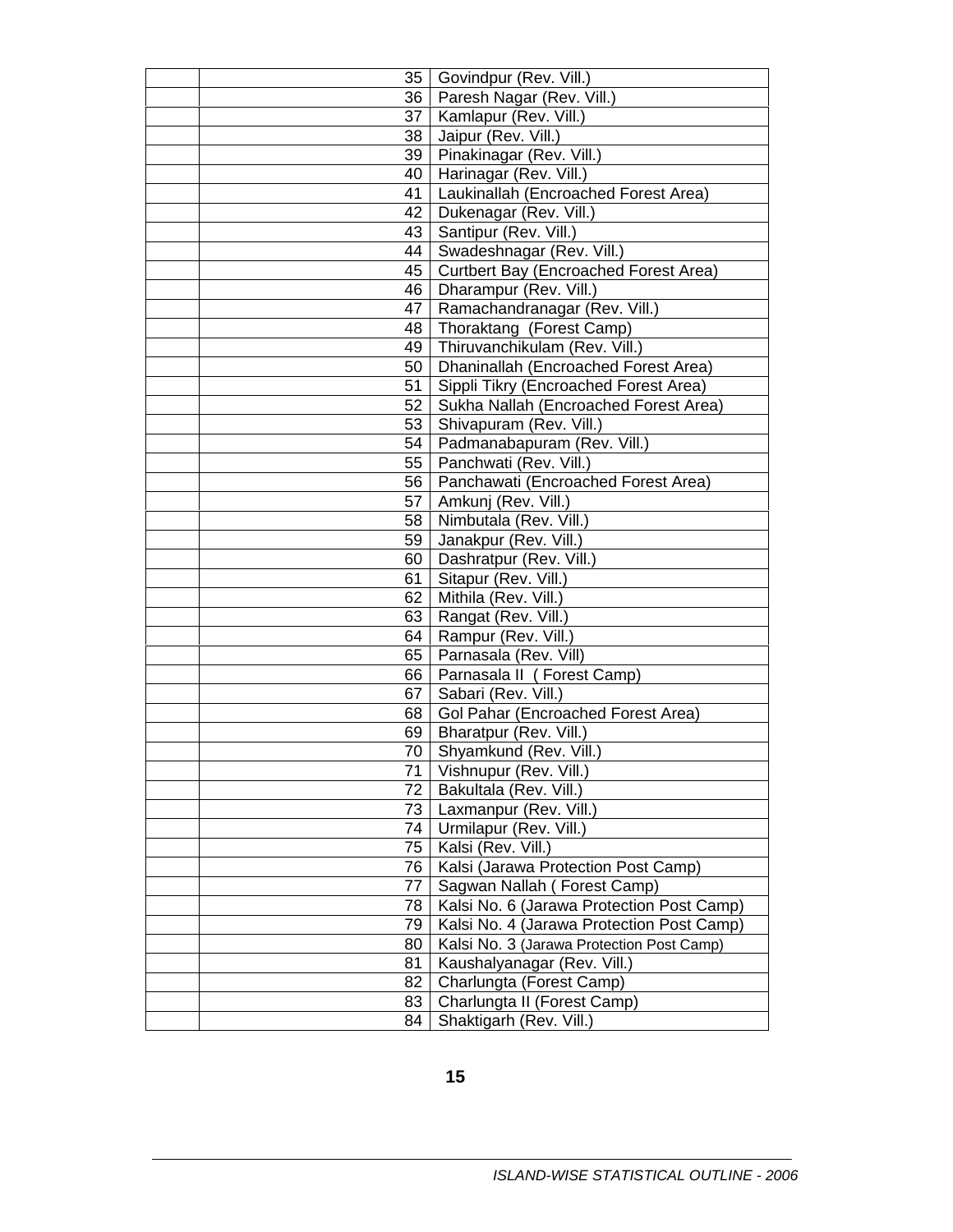|      | 35   Govindpur (Rev. Vill.)               |
|------|-------------------------------------------|
|      | 36   Paresh Nagar (Rev. Vill.)            |
|      | 37   Kamlapur (Rev. Vill.)                |
| 38   | Jaipur (Rev. Vill.)                       |
|      | 39   Pinakinagar (Rev. Vill.)             |
|      | 40   Harinagar (Rev. Vill.)               |
|      | 41   Laukinallah (Encroached Forest Area) |
|      | 42   Dukenagar (Rev. Vill.)               |
| 43   | Santipur (Rev. Vill.)                     |
| 44   | Swadeshnagar (Rev. Vill.)                 |
| 45   | Curtbert Bay (Encroached Forest Area)     |
| 46   | Dharampur (Rev. Vill.)                    |
|      | 47   Ramachandranagar (Rev. Vill.)        |
|      | 48   Thoraktang (Forest Camp)             |
|      | 49   Thiruvanchikulam (Rev. Vill.)        |
| 50   | Dhaninallah (Encroached Forest Area)      |
| 51   | Sippli Tikry (Encroached Forest Area)     |
| 52   | Sukha Nallah (Encroached Forest Area)     |
| 53   | Shivapuram (Rev. Vill.)                   |
|      | 54   Padmanabapuram (Rev. Vill.)          |
|      | 55   Panchwati (Rev. Vill.)               |
|      | 56   Panchawati (Encroached Forest Area)  |
|      | 57   Amkunj (Rev. Vill.)                  |
|      | 58   Nimbutala (Rev. Vill.)               |
| 59   | Janakpur (Rev. Vill.)                     |
| 60   | Dashratpur (Rev. Vill.)                   |
| 61   | Sitapur (Rev. Vill.)                      |
| 62   | Mithila (Rev. Vill.)                      |
|      | 63   Rangat (Rev. Vill.)                  |
|      | 64   Rampur (Rev. Vill.)                  |
| 65   | Parnasala (Rev. Vill)                     |
| 66   | Parnasala II (Forest Camp)                |
| 67 I | Sabari (Rev. Vill.)                       |
| 68   | Gol Pahar (Encroached Forest Area)        |
|      | 69   Bharatpur (Rev. Vill.)               |
| 70 I | Shyamkund (Rev. Vill.)                    |
| 71   | Vishnupur (Rev. Vill.)                    |
| 72   | Bakultala (Rev. Vill.)                    |
| 73   | Laxmanpur (Rev. Vill.)                    |
| 74   | Urmilapur (Rev. Vill.)                    |
| 75   | Kalsi (Rev. Vill.)                        |
| 76   | Kalsi (Jarawa Protection Post Camp)       |
| 77   | Sagwan Nallah (Forest Camp)               |
| 78   | Kalsi No. 6 (Jarawa Protection Post Camp) |
| 79   | Kalsi No. 4 (Jarawa Protection Post Camp) |
| 80   | Kalsi No. 3 (Jarawa Protection Post Camp) |
| 81   | Kaushalyanagar (Rev. Vill.)               |
| 82   | Charlungta (Forest Camp)                  |
| 83   | Charlungta II (Forest Camp)               |
| 84   | Shaktigarh (Rev. Vill.)                   |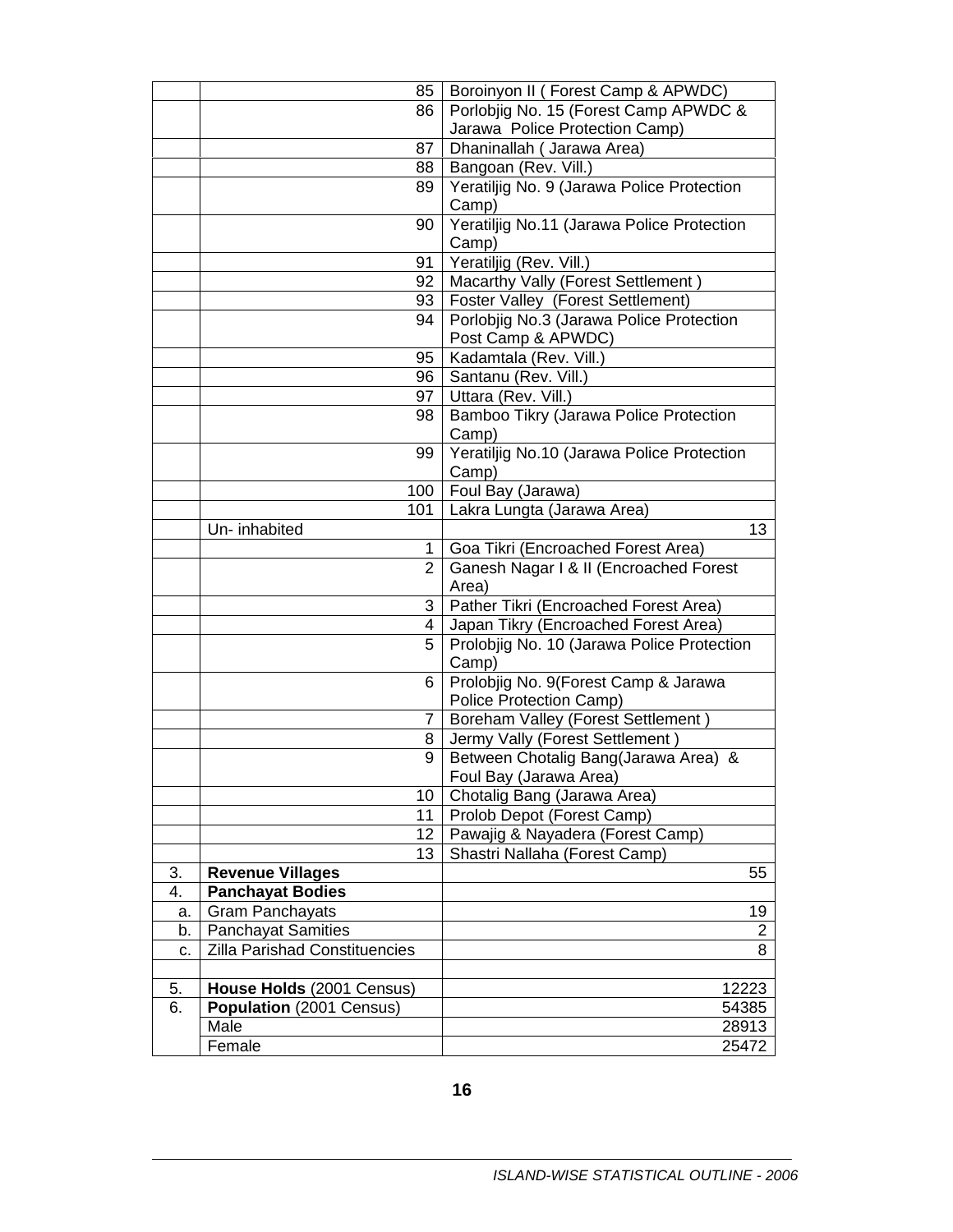| Boroinyon II (Forest Camp & APWDC)<br>Porlobiig No. 15 (Forest Camp APWDC &<br>86<br>Jarawa Police Protection Camp)<br>Dhaninallah ( Jarawa Area)<br>87 |
|---------------------------------------------------------------------------------------------------------------------------------------------------------|
|                                                                                                                                                         |
|                                                                                                                                                         |
|                                                                                                                                                         |
| Bangoan (Rev. Vill.)<br>88 I                                                                                                                            |
| Yeratiljig No. 9 (Jarawa Police Protection<br>89                                                                                                        |
| Camp)                                                                                                                                                   |
| Yeratiljig No.11 (Jarawa Police Protection<br>90                                                                                                        |
| Camp)                                                                                                                                                   |
| Yeratiljig (Rev. Vill.)<br>91                                                                                                                           |
| Macarthy Vally (Forest Settlement)<br>92                                                                                                                |
| Foster Valley (Forest Settlement)<br>93                                                                                                                 |
| Porlobjig No.3 (Jarawa Police Protection<br>94                                                                                                          |
| Post Camp & APWDC)                                                                                                                                      |
| Kadamtala (Rev. Vill.)<br>95                                                                                                                            |
| Santanu (Rev. Vill.)<br>96                                                                                                                              |
| Uttara (Rev. Vill.)<br>97                                                                                                                               |
| Bamboo Tikry (Jarawa Police Protection<br>98                                                                                                            |
| Camp)                                                                                                                                                   |
| Yeratiljig No.10 (Jarawa Police Protection<br>99                                                                                                        |
| Camp)                                                                                                                                                   |
| Foul Bay (Jarawa)<br>100                                                                                                                                |
| Lakra Lungta (Jarawa Area)<br>101                                                                                                                       |
| 13<br>Un- inhabited                                                                                                                                     |
| Goa Tikri (Encroached Forest Area)<br>1                                                                                                                 |
| $\overline{2}$<br>Ganesh Nagar I & II (Encroached Forest                                                                                                |
| Area)                                                                                                                                                   |
| Pather Tikri (Encroached Forest Area)<br>3                                                                                                              |
| Japan Tikry (Encroached Forest Area)<br>4                                                                                                               |
| Prolobjig No. 10 (Jarawa Police Protection<br>5.                                                                                                        |
| Camp)                                                                                                                                                   |
| Prolobjig No. 9(Forest Camp & Jarawa<br>6                                                                                                               |
| Police Protection Camp)                                                                                                                                 |
| <b>Boreham Valley (Forest Settlement)</b><br>$\overline{7}$                                                                                             |
| Jermy Vally (Forest Settlement)<br>8                                                                                                                    |
| 9<br>Between Chotalig Bang(Jarawa Area) &                                                                                                               |
| Foul Bay (Jarawa Area)                                                                                                                                  |
| Chotalig Bang (Jarawa Area)<br>10<br>Prolob Depot (Forest Camp)<br>11                                                                                   |
| Pawajig & Nayadera (Forest Camp)<br>12                                                                                                                  |
| 13<br>Shastri Nallaha (Forest Camp)                                                                                                                     |
| <b>Revenue Villages</b><br>3.<br>55                                                                                                                     |
| 4.<br><b>Panchayat Bodies</b>                                                                                                                           |
| <b>Gram Panchayats</b><br>19<br>a.                                                                                                                      |
| <b>Panchayat Samities</b><br>b.<br>$\overline{c}$                                                                                                       |
| Zilla Parishad Constituencies<br>8<br>c.                                                                                                                |
|                                                                                                                                                         |
|                                                                                                                                                         |
|                                                                                                                                                         |
| House Holds (2001 Census)<br>12223<br>5.<br>6.                                                                                                          |
| Population (2001 Census)<br>54385<br>Male<br>28913                                                                                                      |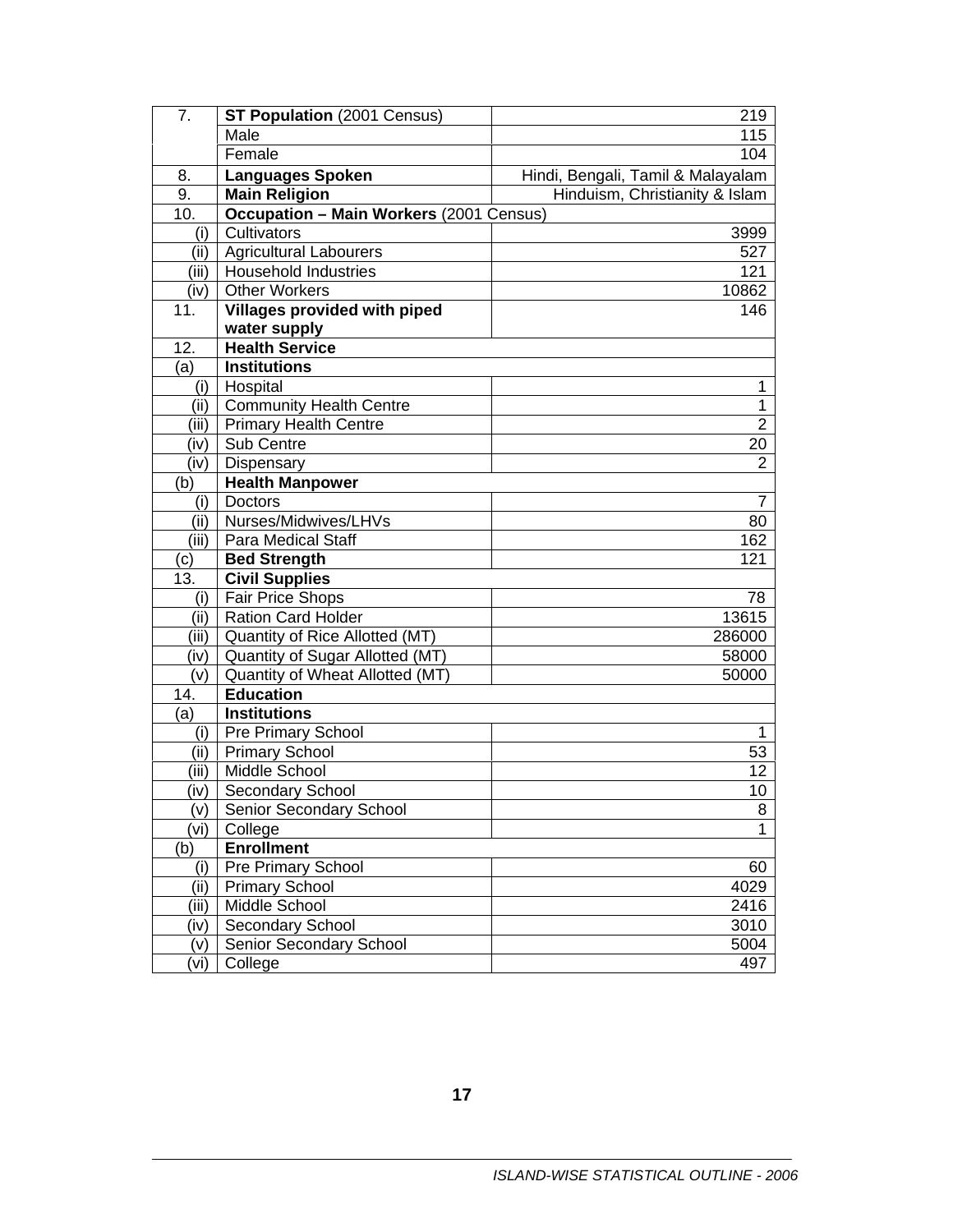| 7.    | ST Population (2001 Census)             | 219                               |
|-------|-----------------------------------------|-----------------------------------|
|       | Male                                    | 115                               |
|       | Female                                  | 104                               |
| 8.    | <b>Languages Spoken</b>                 | Hindi, Bengali, Tamil & Malayalam |
| 9.    | <b>Main Religion</b>                    | Hinduism, Christianity & Islam    |
| 10.   | Occupation - Main Workers (2001 Census) |                                   |
| (i)   | Cultivators                             | 3999                              |
| (iii) | <b>Agricultural Labourers</b>           | 527                               |
| (iii) | Household Industries                    | 121                               |
| (iv)  | <b>Other Workers</b>                    | 10862                             |
| 11.   | Villages provided with piped            | 146                               |
|       | water supply                            |                                   |
| 12.   | <b>Health Service</b>                   |                                   |
| (a)   | <b>Institutions</b>                     |                                   |
| (i)   | Hospital                                | 1                                 |
| (ii)  | <b>Community Health Centre</b>          | $\mathbf{1}$                      |
| (iii) | <b>Primary Health Centre</b>            | $\overline{2}$                    |
| (iv)  | Sub Centre                              | 20                                |
| (iv)  | Dispensary                              | $\overline{2}$                    |
| (b)   | <b>Health Manpower</b>                  |                                   |
| (i)   | Doctors                                 | 7                                 |
| (ii)  | Nurses/Midwives/LHVs                    | 80                                |
| (iii) | <b>Para Medical Staff</b>               | 162                               |
| (c)   | <b>Bed Strength</b>                     | 121                               |
| 13.   | <b>Civil Supplies</b>                   |                                   |
| (i)   | Fair Price Shops                        | 78                                |
| (ii)  | <b>Ration Card Holder</b>               | 13615                             |
| (iii) | Quantity of Rice Allotted (MT)          | 286000                            |
| (iv)  | Quantity of Sugar Allotted (MT)         | 58000                             |
| (v)   | Quantity of Wheat Allotted (MT)         | 50000                             |
| 14.   | <b>Education</b>                        |                                   |
| (a)   | <b>Institutions</b>                     |                                   |
| (i)   | Pre Primary School                      | 1                                 |
| (ii)  | <b>Primary School</b>                   | 53                                |
| (iii) | Middle School                           | 12                                |
| (iv)  | Secondary School                        | 10                                |
| (v)   | Senior Secondary School                 | 8                                 |
| (vi)  | College                                 | 1                                 |
| (b)   | <b>Enrollment</b>                       |                                   |
| (i)   | Pre Primary School                      | 60                                |
| (iii) | <b>Primary School</b>                   | 4029                              |
| (iii) | Middle School                           | 2416                              |
| (iv)  | Secondary School                        | 3010                              |
| (v)   | Senior Secondary School                 | 5004                              |
| (vi)  | College                                 | 497                               |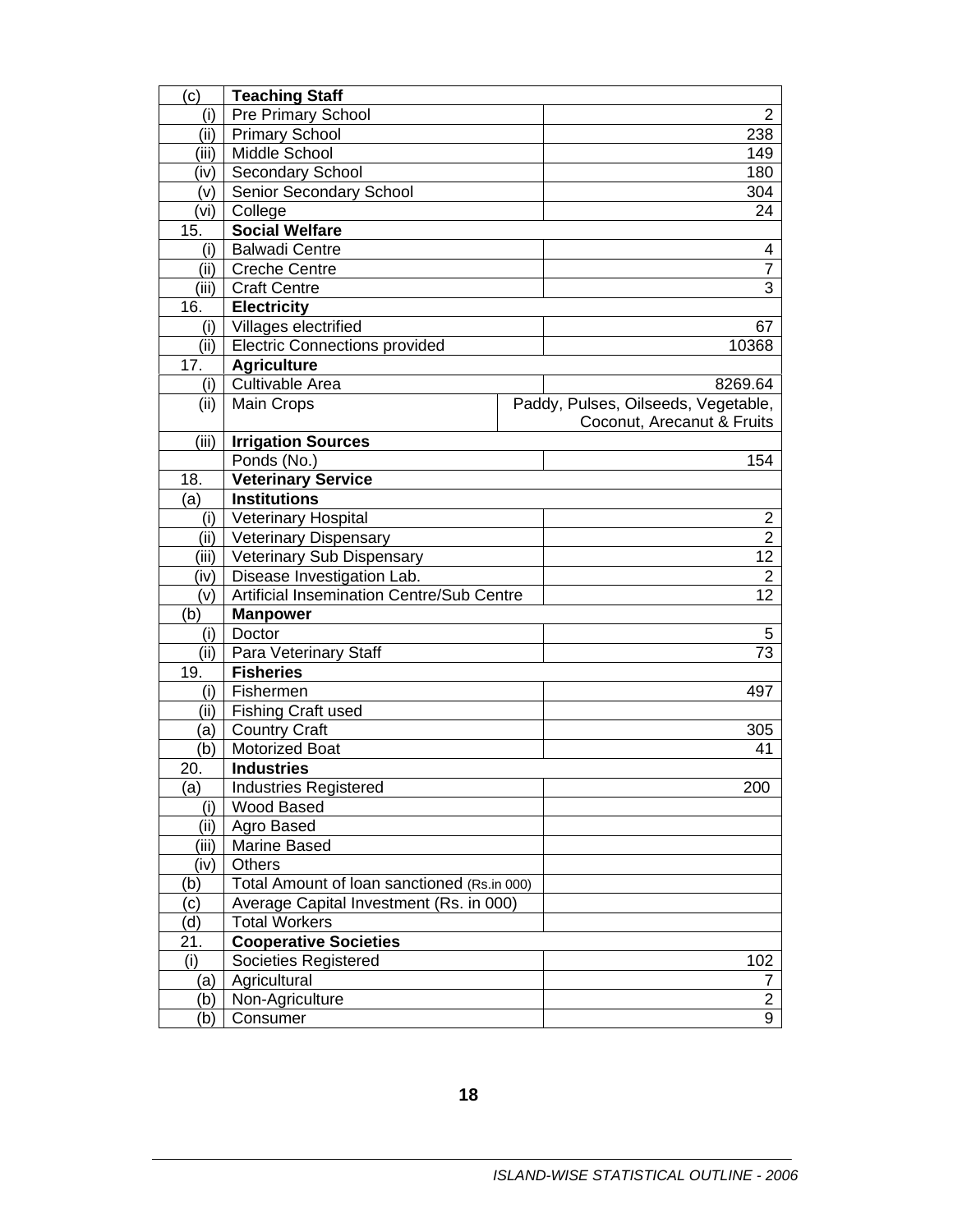| $\mathbf{(c)}$ | <b>Teaching Staff</b>                       |  |                                     |
|----------------|---------------------------------------------|--|-------------------------------------|
| (i)            | Pre Primary School                          |  | $\mathbf{2}^{\prime}$               |
| (ii)           | <b>Primary School</b>                       |  | 238                                 |
| (iii)          | Middle School                               |  | 149                                 |
| (iv)           | <b>Secondary School</b>                     |  | 180                                 |
| (v)            | Senior Secondary School                     |  | 304                                 |
| (vi)           | College                                     |  | 24                                  |
| 15.            | <b>Social Welfare</b>                       |  |                                     |
| (i)            | <b>Balwadi Centre</b>                       |  | 4                                   |
| (ii)           | <b>Creche Centre</b>                        |  | 7                                   |
| (iii)          | <b>Craft Centre</b>                         |  | $\overline{3}$                      |
| 16.            | <b>Electricity</b>                          |  |                                     |
| (i)            | Villages electrified                        |  | 67                                  |
| (ii)           | <b>Electric Connections provided</b>        |  | 10368                               |
| 17.            | <b>Agriculture</b>                          |  |                                     |
| (i)            | Cultivable Area                             |  | 8269.64                             |
| (ii)           | Main Crops                                  |  | Paddy, Pulses, Oilseeds, Vegetable, |
|                |                                             |  | Coconut, Arecanut & Fruits          |
| (iii)          | <b>Irrigation Sources</b>                   |  |                                     |
|                | Ponds (No.)                                 |  | 154                                 |
| 18.            | <b>Veterinary Service</b>                   |  |                                     |
| (a)            | <b>Institutions</b>                         |  |                                     |
| (i)            | <b>Veterinary Hospital</b>                  |  | 2                                   |
| (ii)           | <b>Veterinary Dispensary</b>                |  | $\overline{2}$                      |
| (iii)          | <b>Veterinary Sub Dispensary</b>            |  | 12                                  |
| (iv)           | Disease Investigation Lab.                  |  | $\overline{2}$                      |
| (v)            | Artificial Insemination Centre/Sub Centre   |  | 12                                  |
| (b)            | <b>Manpower</b>                             |  |                                     |
| (i)            | Doctor                                      |  | 5                                   |
| (ii)           | Para Veterinary Staff                       |  | 73                                  |
| 19.            | <b>Fisheries</b>                            |  |                                     |
| (i)            | Fishermen                                   |  | 497                                 |
| (ii)           | <b>Fishing Craft used</b>                   |  |                                     |
| (a)            | <b>Country Craft</b>                        |  | 305                                 |
| (b)<br>20.     | <b>Motorized Boat</b><br><b>Industries</b>  |  | 41                                  |
| (a)            | <b>Industries Registered</b>                |  | 200                                 |
| (i)            | Wood Based                                  |  |                                     |
| (ii)           | Agro Based                                  |  |                                     |
| (iii)          | Marine Based                                |  |                                     |
| (iv)           | Others                                      |  |                                     |
| (b)            | Total Amount of Ioan sanctioned (Rs.in 000) |  |                                     |
| (c)            | Average Capital Investment (Rs. in 000)     |  |                                     |
| (d)            | <b>Total Workers</b>                        |  |                                     |
| 21.            | <b>Cooperative Societies</b>                |  |                                     |
| (i)            | Societies Registered                        |  | 102                                 |
| (a)            | Agricultural                                |  | 7                                   |
| (b)            | Non-Agriculture                             |  | $\overline{2}$                      |
| (b)            | Consumer                                    |  | 9                                   |
|                |                                             |  |                                     |